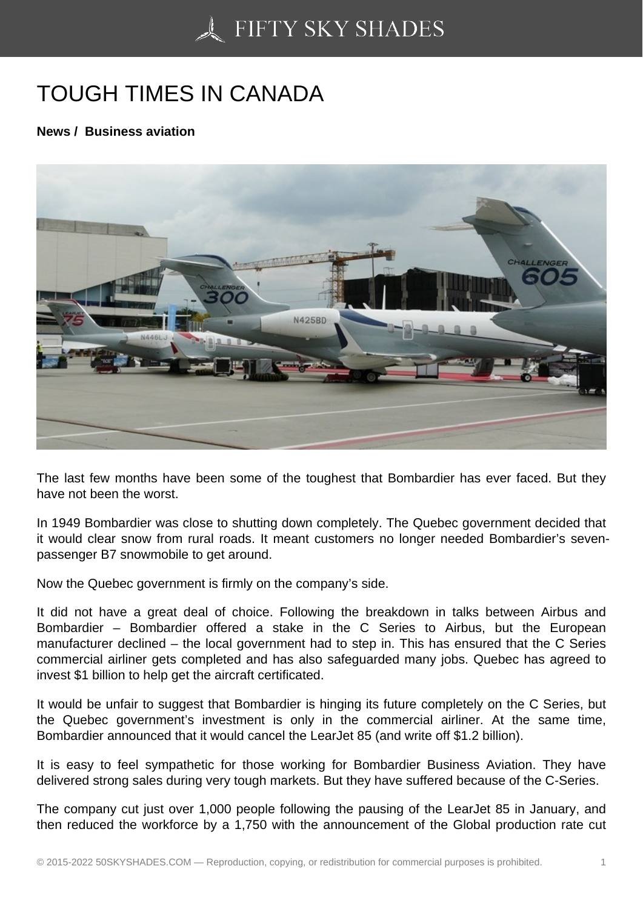## [TOUGH TIMES IN CAN](https://50skyshades.com)ADA

News / Business aviation

The last few months have been some of the toughest that Bombardier has ever faced. But they have not been the worst.

In 1949 Bombardier was close to shutting down completely. The Quebec government decided that it would clear snow from rural roads. It meant customers no longer needed Bombardier's sevenpassenger B7 snowmobile to get around.

Now the Quebec government is firmly on the company's side.

It did not have a great deal of choice. Following the breakdown in talks between Airbus and Bombardier – Bombardier offered a stake in the C Series to Airbus, but the European manufacturer declined – the local government had to step in. This has ensured that the C Series commercial airliner gets completed and has also safeguarded many jobs. Quebec has agreed to invest \$1 billion to help get the aircraft certificated.

It would be unfair to suggest that Bombardier is hinging its future completely on the C Series, but the Quebec government's investment is only in the commercial airliner. At the same time, Bombardier announced that it would cancel the LearJet 85 (and write off \$1.2 billion).

It is easy to feel sympathetic for those working for Bombardier Business Aviation. They have delivered strong sales during very tough markets. But they have suffered because of the C-Series.

The company cut just over 1,000 people following the pausing of the LearJet 85 in January, and then reduced the workforce by a 1,750 with the announcement of the Global production rate cut